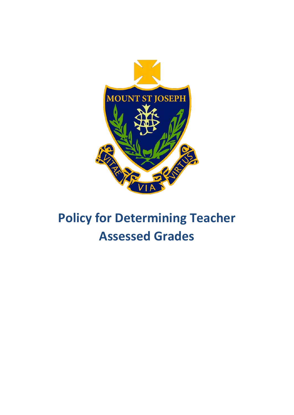

# **Policy for Determining Teacher Assessed Grades**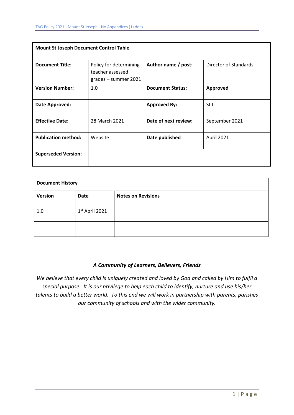| <b>Mount St Joseph Document Control Table</b> |                                                                    |                         |                       |  |  |
|-----------------------------------------------|--------------------------------------------------------------------|-------------------------|-----------------------|--|--|
| <b>Document Title:</b>                        | Policy for determining<br>teacher assessed<br>grades - summer 2021 | Author name / post:     | Director of Standards |  |  |
| <b>Version Number:</b>                        | 1.0                                                                | <b>Document Status:</b> | Approved              |  |  |
| Date Approved:                                |                                                                    | <b>Approved By:</b>     | <b>SLT</b>            |  |  |
| <b>Effective Date:</b>                        | 28 March 2021                                                      | Date of next review:    | September 2021        |  |  |
| <b>Publication method:</b>                    | Website                                                            | Date published          | April 2021            |  |  |
| <b>Superseded Version:</b>                    |                                                                    |                         |                       |  |  |

| <b>Document History</b> |                  |                           |  |  |
|-------------------------|------------------|---------------------------|--|--|
| <b>Version</b>          | Date             | <b>Notes on Revisions</b> |  |  |
| 1.0                     | $1st$ April 2021 |                           |  |  |
|                         |                  |                           |  |  |

### *A Community of Learners, Believers, Friends*

*We believe that every child is uniquely created and loved by God and called by Him to fulfil a special purpose. It is our privilege to help each child to identify, nurture and use his/her talents to build a better world. To this end we will work in partnership with parents, parishes our community of schools and with the wider community.*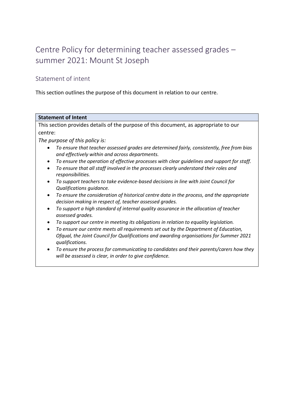## Centre Policy for determining teacher assessed grades – summer 2021: Mount St Joseph

### Statement of intent

This section outlines the purpose of this document in relation to our centre.

### **Statement of Intent**

This section provides details of the purpose of this document, as appropriate to our centre:

*The purpose of this policy is:*

- *To ensure that teacher assessed grades are determined fairly, consistently, free from bias and effectively within and across departments.*
- *To ensure the operation of effective processes with clear guidelines and support for staff.*
- *To ensure that all staff involved in the processes clearly understand their roles and responsibilities.*
- *To support teachers to take evidence-based decisions in line with Joint Council for Qualifications guidance.*
- *To ensure the consideration of historical centre data in the process, and the appropriate decision making in respect of, teacher assessed grades.*
- *To support a high standard of internal quality assurance in the allocation of teacher assessed grades.*
- *To support our centre in meeting its obligations in relation to equality legislation.*
- *To ensure our centre meets all requirements set out by the Department of Education, Ofqual, the Joint Council for Qualifications and awarding organisations for Summer 2021 qualifications.*
- *To ensure the process for communicating to candidates and their parents/carers how they will be assessed is clear, in order to give confidence.*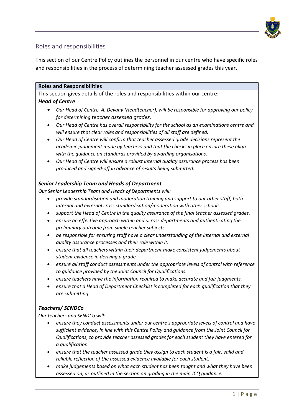

### Roles and responsibilities

This section of our Centre Policy outlines the personnel in our centre who have specific roles and responsibilities in the process of determining teacher assessed grades this year.

#### **Roles and Responsibilities**

This section gives details of the roles and responsibilities within our centre:

### *Head of Centre*

- *Our Head of Centre, A. Devany (Headteacher), will be responsible for approving our policy for determining teacher assessed grades.*
- *Our Head of Centre has overall responsibility for the school as an examinations centre and will ensure that clear roles and responsibilities of all staff are defined.*
- *Our Head of Centre will confirm that teacher assessed grade decisions represent the academic judgement made by teachers and that the checks in place ensure these align with the guidance on standards provided by awarding organisations.*
- *Our Head of Centre will ensure a robust internal quality assurance process has been produced and signed-off in advance of results being submitted.*

### *Senior Leadership Team and Heads of Department*

*Our Senior Leadership Team and Heads of Departments will:*

- *provide standardisation and moderation training and support to our other staff, both internal and external cross standardisation/moderation with other schools*
- *support the Head of Centre in the quality assurance of the final teacher assessed grades.*
- *ensure an effective approach within and across departments and authenticating the preliminary outcome from single teacher subjects.*
- *be responsible for ensuring staff have a clear understanding of the internal and external quality assurance processes and their role within it.*
- *ensure that all teachers within their department make consistent judgements about student evidence in deriving a grade.*
- *ensure all staff conduct assessments under the appropriate levels of control with reference to guidance provided by the Joint Council for Qualifications.*
- *ensure teachers have the information required to make accurate and fair judgments.*
- *ensure that a Head of Department Checklist is completed for each qualification that they are submitting.*

### *Teachers/ SENDCo*

*Our teachers and SENDCo will:*

- *ensure they conduct assessments under our centre's appropriate levels of control and have sufficient evidence, in line with this Centre Policy and guidance from the Joint Council for Qualifications, to provide teacher assessed grades for each student they have entered for a qualification.*
- *ensure that the teacher assessed grade they assign to each student is a fair, valid and reliable reflection of the assessed evidence available for each student.*
- *make judgements based on what each student has been taught and what they have been assessed on, as outlined in the section on grading in the main JCQ guidance.*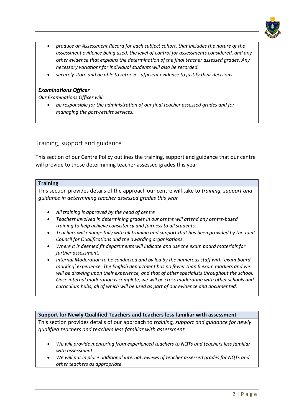

- *produce an Assessment Record for each subject cohort, that includes the nature of the assessment evidence being used, the level of control for assessments considered, and any other evidence that explains the determination of the final teacher assessed grades. Any necessary variations for individual students will also be recorded.*
- *securely store and be able to retrieve sufficient evidence to justify their decisions.*

### *Examinations Officer*

*Our Examinations Officer will:*

• *be responsible for the administration of our final teacher assessed grades and for managing the post-results services.*

### Training, support and guidance

This section of our Centre Policy outlines the training, support and guidance that our centre will provide to those determining teacher assessed grades this year.

#### **Training**

This section provides details of the approach our centre will take to *training, support and guidance in determining teacher assessed grades this year*

- *All training is approved by the head of centre*
- *Teachers involved in determining grades in our centre will attend any centre-based training to help achieve consistency and fairness to all students.*
- *Teachers will engage fully with all training and support that has been provided by the Joint Council for Qualifications and the awarding organisations.*
- *Where it is deemed fit departments will indicate and use the exam board materials for further assessment.*
- *Internal Moderation to be conducted and by led by the numerous staff with 'exam board marking' experience. The English department has no fewer than 6 exam markers and we will be drawing upon their experience, and that of other specialists throughout the school. Once internal moderation is complete, we will be cross moderating with other schools and curriculum hubs, all of which will be used as part of our evidence and documented.*

### **Support for Newly Qualified Teachers and teachers less familiar with assessment**

This section provides details of our approach to *training, support and guidance for newly qualified teachers and teachers less familiar with assessment*

- *We will provide mentoring from experienced teachers to NQTs and teachers less familiar with assessment.*
- *We will put in place additional internal reviews of teacher assessed grades for NQTs and other teachers as appropriate.*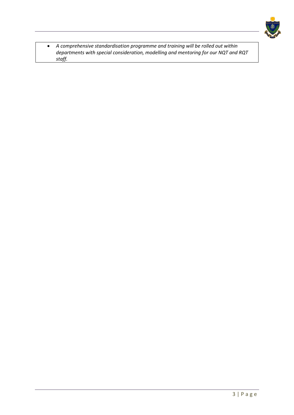

• *A comprehensive standardisation programme and training will be rolled out within departments with special consideration, modelling and mentoring for our NQT and RQT staff.*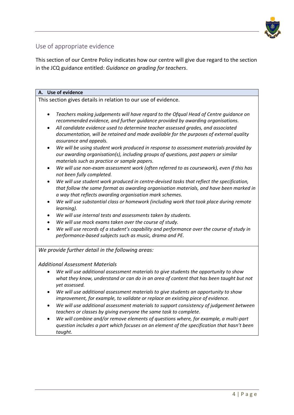

### Use of appropriate evidence

This section of our Centre Policy indicates how our centre will give due regard to the section in the JCQ guidance entitled: *Guidance on grading for teachers*.

### **A. Use of evidence**

This section gives details in relation to our use of evidence.

- *Teachers making judgements will have regard to the Ofqual Head of Centre guidance on recommended evidence, and further guidance provided by awarding organisations.*
- *All candidate evidence used to determine teacher assessed grades, and associated documentation, will be retained and made available for the purposes of external quality assurance and appeals.*
- *We will be using student work produced in response to assessment materials provided by our awarding organisation(s), including groups of questions, past papers or similar materials such as practice or sample papers.*
- *We will use non-exam assessment work (often referred to as coursework), even if this has not been fully completed.*
- *We will use student work produced in centre-devised tasks that reflect the specification, that follow the same format as awarding organisation materials, and have been marked in a way that reflects awarding organisation mark schemes.*
- *We will use substantial class or homework (including work that took place during remote learning).*
- *We will use internal tests and assessments taken by students.*
- *We will use mock exams taken over the course of study.*
- *We will use records of a student's capability and performance over the course of study in performance-based subjects such as music, drama and PE.*

*We provide further detail in the following areas:*

### *Additional Assessment Materials*

- *We will use additional assessment materials to give students the opportunity to show what they know, understand or can do in an area of content that has been taught but not yet assessed.*
- *We will use additional assessment materials to give students an opportunity to show improvement, for example, to validate or replace an existing piece of evidence.*
- *We will use additional assessment materials to support consistency of judgement between teachers or classes by giving everyone the same task to complete.*
- *We will combine and/or remove elements of questions where, for example, a multi-part question includes a part which focuses on an element of the specification that hasn't been taught.*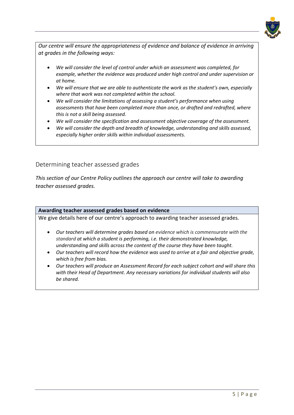

*Our centre will ensure the appropriateness of evidence and balance of evidence in arriving at grades in the following ways:*

- *We will consider the level of control under which an assessment was completed, for example, whether the evidence was produced under high control and under supervision or at home.*
- *We will ensure that we are able to authenticate the work as the student's own, especially where that work was not completed within the school.*
- *We will consider the limitations of assessing a student's performance when using assessments that have been completed more than once, or drafted and redrafted, where this is not a skill being assessed.*
- *We will consider the specification and assessment objective coverage of the assessment.*
- *We will consider the depth and breadth of knowledge, understanding and skills assessed, especially higher order skills within individual assessments.*

### Determining teacher assessed grades

*This section of our Centre Policy outlines the approach our centre will take to awarding teacher assessed grades.*

#### **Awarding teacher assessed grades based on evidence**

We give details here of our centre's approach to awarding teacher assessed grades*.*

- *Our teachers will determine grades based on evidence which is commensurate with the standard at which a student is performing, i.e. their demonstrated knowledge, understanding and skills across the content of the course they have been taught.*
- *Our teachers will record how the evidence was used to arrive at a fair and objective grade, which is free from bias.*
- *Our teachers will produce an Assessment Record for each subject cohort and will share this with their Head of Department. Any necessary variations for individual students will also be shared.*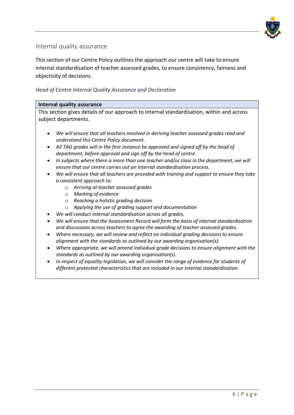

### Internal quality assurance

This section of our Centre Policy outlines the approach our centre will take to ensure internal standardisation of teacher assessed grades, to ensure consistency, fairness and objectivity of decisions.

### *Head of Centre Internal Quality Assurance and Declaration*

#### **Internal quality assurance**

This section gives details of our approach to internal standardisation, within and across subject departments.

- *We will ensure that all teachers involved in deriving teacher assessed grades read and understand this Centre Policy document.*
- *All TAG grades will in the first instance be approved and signed off by the head of department, before approval and sign off by the head of centre.*
- *In subjects where there is more than one teacher and/or class in the department, we will ensure that our centre carries out an internal standardisation process.*
- *We will ensure that all teachers are provided with training and support to ensure they take a consistent approach to:*
	- o *Arriving at teacher assessed grades*
	- o *Marking of evidence*
	- o *Reaching a holistic grading decision*
	- o *Applying the use of grading support and documentation*
- *We will conduct internal standardisation across all grades.*
- *We will ensure that the Assessment Record will form the basis of internal standardisation and discussions across teachers to agree the awarding of teacher assessed grades.*
- *Where necessary, we will review and reflect on individual grading decisions to ensure alignment with the standards as outlined by our awarding organisation(s).*
- *Where appropriate, we will amend individual grade decisions to ensure alignment with the standards as outlined by our awarding organisation(s).*
- *In respect of equality legislation, we will consider the range of evidence for students of different protected characteristics that are included in our internal standardisation.*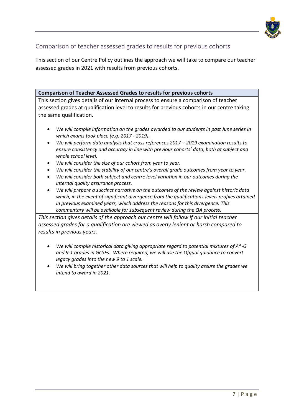

### Comparison of teacher assessed grades to results for previous cohorts

This section of our Centre Policy outlines the approach we will take to compare our teacher assessed grades in 2021 with results from previous cohorts.

**Comparison of Teacher Assessed Grades to results for previous cohorts**

This section gives details of our internal process to ensure a comparison of teacher assessed grades at qualification level to results for previous cohorts in our centre taking the same qualification.

- *We will compile information on the grades awarded to our students in past June series in which exams took place (e.g. 2017 - 2019).*
- *We will perform data analysis that cross references 2017 – 2019 examination results to ensure consistency and accuracy in line with previous cohorts' data, both at subject and whole school level.*
- *We will consider the size of our cohort from year to year.*
- *We will consider the stability of our centre's overall grade outcomes from year to year.*
- *We will consider both subject and centre level variation in our outcomes during the internal quality assurance process.*
- *We will prepare a succinct narrative on the outcomes of the review against historic data which, in the event of significant divergence from the qualifications-levels profiles attained in previous examined years, which address the reasons for this divergence. This commentary will be available for subsequent review during the QA process.*

*This section gives details of the approach our centre will follow if our initial teacher assessed grades for a qualification are viewed as overly lenient or harsh compared to results in previous years.*

- *We will compile historical data giving appropriate regard to potential mixtures of A\*-G and 9-1 grades in GCSEs. Where required, we will use the Ofqual guidance to convert legacy grades into the new 9 to 1 scale.*
- *We will bring together other data sources that will help to quality assure the grades we intend to award in 2021.*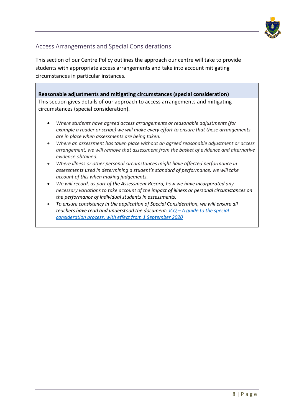

### Access Arrangements and Special Considerations

This section of our Centre Policy outlines the approach our centre will take to provide students with appropriate access arrangements and take into account mitigating circumstances in particular instances.

**Reasonable adjustments and mitigating circumstances (special consideration)**

This section gives details of our approach to access arrangements and mitigating circumstances (special consideration).

- *Where students have agreed access arrangements or reasonable adjustments (for example a reader or scribe) we will make every effort to ensure that these arrangements are in place when assessments are being taken.*
- *Where an assessment has taken place without an agreed reasonable adjustment or access arrangement, we will remove that assessment from the basket of evidence and alternative evidence obtained.*
- *Where illness or other personal circumstances might have affected performance in assessments used in determining a student's standard of performance, we will take account of this when making judgements.*
- *We will record, as part of the Assessment Record, how we have incorporated any necessary variations to take account of the impact of illness or personal circumstances on the performance of individual students in assessments.*
- *To ensure consistency in the application of Special Consideration, we will ensure all teachers have read and understood the document: JCQ – [A guide to the special](https://www.jcq.org.uk/wp-content/uploads/2020/08/A-guide-to-the-spec-con-process-202021-Website-version.pdf)  [consideration process, with effect from 1 September 2020](https://www.jcq.org.uk/wp-content/uploads/2020/08/A-guide-to-the-spec-con-process-202021-Website-version.pdf)*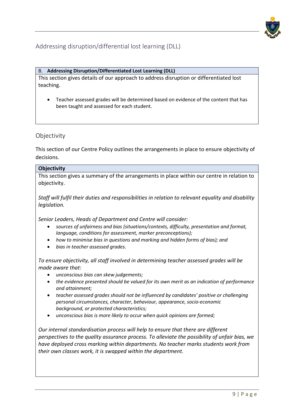

### Addressing disruption/differential lost learning (DLL)

#### B. **Addressing Disruption/Differentiated Lost Learning (DLL)**

This section gives details of our approach to address disruption or differentiated lost teaching.

• Teacher assessed grades will be determined based on evidence of the content that has been taught and assessed for each student.

### **Objectivity**

This section of our Centre Policy outlines the arrangements in place to ensure objectivity of decisions.

### **Objectivity**

This section gives a summary of the arrangements in place within our centre in relation to objectivity.

*Staff will fulfil their duties and responsibilities in relation to relevant equality and disability legislation.*

*Senior Leaders, Heads of Department and Centre will consider:*

- *sources of unfairness and bias (situations/contexts, difficulty, presentation and format, language, conditions for assessment, marker preconceptions);*
- *how to minimise bias in questions and marking and hidden forms of bias); and*
- *bias in teacher assessed grades.*

*To ensure objectivity, all staff involved in determining teacher assessed grades will be made aware that:*

- *unconscious bias can skew judgements;*
- *the evidence presented should be valued for its own merit as an indication of performance and attainment;*
- *teacher assessed grades should not be influenced by candidates' positive or challenging personal circumstances, character, behaviour, appearance, socio-economic background, or protected characteristics;*
- *unconscious bias is more likely to occur when quick opinions are formed;*

*Our internal standardisation process will help to ensure that there are different perspectives to the quality assurance process. To alleviate the possibility of unfair bias, we have deployed cross marking within departments. No teacher marks students work from their own classes work, it is swapped within the department.*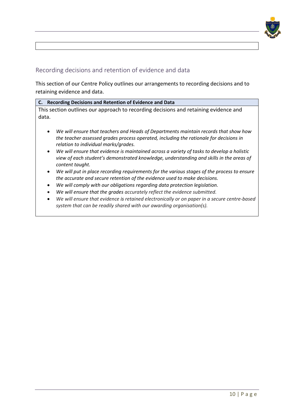

### Recording decisions and retention of evidence and data

This section of our Centre Policy outlines our arrangements to recording decisions and to retaining evidence and data.

### **C. Recording Decisions and Retention of Evidence and Data**

This section outlines our approach to recording decisions and retaining evidence and data.

- *We will ensure that teachers and Heads of Departments maintain records that show how the teacher assessed grades process operated, including the rationale for decisions in relation to individual marks/grades.*
- *We will ensure that evidence is maintained across a variety of tasks to develop a holistic view of each student's demonstrated knowledge, understanding and skills in the areas of content taught.*
- *We will put in place recording requirements for the various stages of the process to ensure the accurate and secure retention of the evidence used to make decisions.*
- *We will comply with our obligations regarding data protection legislation.*
- *We will ensure that the grades accurately reflect the evidence submitted.*
- *We will ensure that evidence is retained electronically or on paper in a secure centre-based system that can be readily shared with our awarding organisation(s).*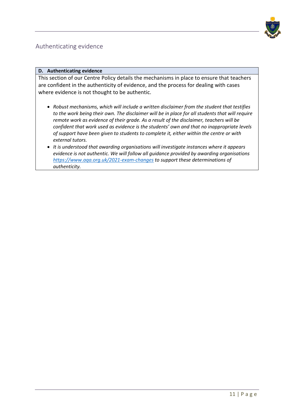

### Authenticating evidence

#### **D. Authenticating evidence**

This section of our Centre Policy details the mechanisms in place to ensure that teachers are confident in the authenticity of evidence, and the process for dealing with cases where evidence is not thought to be authentic.

- *Robust mechanisms, which will include a written disclaimer from the student that testifies to the work being their own. The disclaimer will be in place for all students that will require remote work as evidence of their grade. As a result of the disclaimer, teachers will be confident that work used as evidence is the students' own and that no inappropriate levels of support have been given to students to complete it, either within the centre or with external tutors.*
- *It is understood that awarding organisations will investigate instances where it appears evidence is not authentic. We will follow all guidance provided by awarding organisations <https://www.aqa.org.uk/2021-exam-changes> to support these determinations of authenticity.*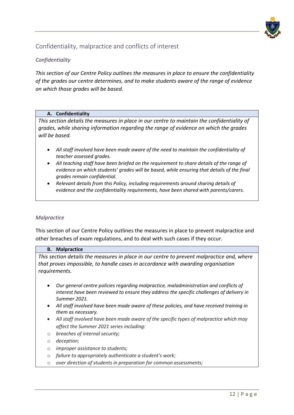

### Confidentiality, malpractice and conflicts of interest

### *Confidentiality*

*This section of our Centre Policy outlines the measures in place to ensure the confidentiality of the grades our centre determines, and to make students aware of the range of evidence on which those grades will be based.*

#### **A. Confidentiality**

*This section details the measures in place in our centre to maintain the confidentiality of grades, while sharing information regarding the range of evidence on which the grades will be based.* 

- *All staff involved have been made aware of the need to maintain the confidentiality of teacher assessed grades.*
- *All teaching staff have been briefed on the requirement to share details of the range of evidence on which students' grades will be based, while ensuring that details of the final grades remain confidential.*
- *Relevant details from this Policy, including requirements around sharing details of evidence and the confidentiality requirements, have been shared with parents/carers.*

### *Malpractice*

This section of our Centre Policy outlines the measures in place to prevent malpractice and other breaches of exam regulations, and to deal with such cases if they occur.

#### **B. Malpractice**

*This section details the measures in place in our centre to prevent malpractice and, where that proves impossible, to handle cases in accordance with awarding organisation requirements.*

- *Our general centre policies regarding malpractice, maladministration and conflicts of interest have been reviewed to ensure they address the specific challenges of delivery in Summer 2021.*
- *All staff involved have been made aware of these policies, and have received training in them as necessary.*
- *All staff involved have been made aware of the specific types of malpractice which may affect the Summer 2021 series including:*
- o *breaches of internal security;*
- o *deception;*
- o *improper assistance to students;*
- o *failure to appropriately authenticate a student's work;*
- o *over direction of students in preparation for common assessments;*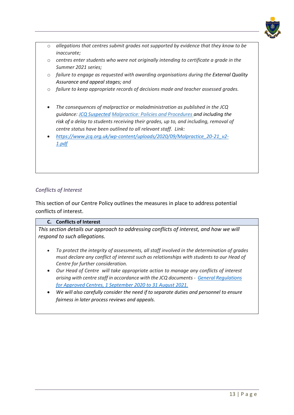

- o *allegations that centres submit grades not supported by evidence that they know to be inaccurate;*
- o *centres enter students who were not originally intending to certificate a grade in the Summer 2021 series;*
- o *failure to engage as requested with awarding organisations during the External Quality Assurance and appeal stages; and*
- o *failure to keep appropriate records of decisions made and teacher assessed grades.*
- *The consequences of malpractice or maladministration as published in the JCQ guidance: [JCQ Suspected](https://www.jcq.org.uk/exams-office/malpractice/jcq-suspected-malpractice-policies-and-procedures-2019-2020) Malpractice: Policies and Procedures and including the risk of a delay to students receiving their grades, up to, and including, removal of centre status have been outlined to all relevant staff. Link:*
- *[https://www.jcq.org.uk/wp-content/uploads/2020/09/Malpractice\\_20-21\\_v2-](https://www.jcq.org.uk/wp-content/uploads/2020/09/Malpractice_20-21_v2-1.pdf) [1.pdf](https://www.jcq.org.uk/wp-content/uploads/2020/09/Malpractice_20-21_v2-1.pdf)*

### *Conflicts of Interest*

This section of our Centre Policy outlines the measures in place to address potential conflicts of interest.

### **C. Conflicts of Interest**

*This section details our approach to addressing conflicts of interest, and how we will respond to such allegations.*

- *To protect the integrity of assessments, all staff involved in the determination of grades must declare any conflict of interest such as relationships with students to our Head of Centre for further consideration.*
- *Our Head of Centre will take appropriate action to manage any conflicts of interest arising with centre staff in accordance with the JCQ documents - [General Regulations](https://www.jcq.org.uk/wp-content/uploads/2020/09/Gen_regs_approved_centres_20-21_FINAL.pdf)  [for Approved Centres, 1 September 2020 to 31 August 2021.](https://www.jcq.org.uk/wp-content/uploads/2020/09/Gen_regs_approved_centres_20-21_FINAL.pdf)*
- *We will also carefully consider the need if to separate duties and personnel to ensure fairness in later process reviews and appeals.*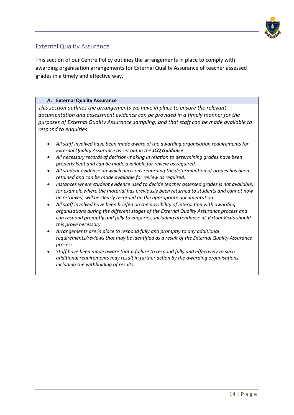

### External Quality Assurance

This section of our Centre Policy outlines the arrangements in place to comply with awarding organisation arrangements for External Quality Assurance of teacher assessed grades in a timely and effective way.

### **A. External Quality Assurance**

*This section outlines the arrangements we have in place to ensure the relevant documentation and assessment evidence can be provided in a timely manner for the purposes of External Quality Assurance sampling, and that staff can be made available to respond to enquiries.*

- *All staff involved have been made aware of the awarding organisation requirements for External Quality Assurance as set out in the JCQ Guidance.*
- *All necessary records of decision-making in relation to determining grades have been properly kept and can be made available for review as required.*
- *All student evidence on which decisions regarding the determination of grades has been retained and can be made available for review as required.*
- *Instances where student evidence used to decide teacher assessed grades is not available, for example where the material has previously been returned to students and cannot now be retrieved, will be clearly recorded on the appropriate documentation.*
- *All staff involved have been briefed on the possibility of interaction with awarding organisations during the different stages of the External Quality Assurance process and can respond promptly and fully to enquiries, including attendance at Virtual Visits should this prove necessary.*
- *Arrangements are in place to respond fully and promptly to any additional requirements/reviews that may be identified as a result of the External Quality Assurance process.*
- *Staff have been made aware that a failure to respond fully and effectively to such additional requirements may result in further action by the awarding organisations, including the withholding of results.*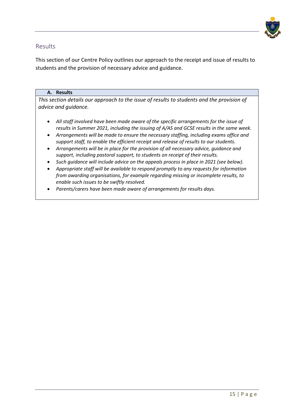

### Results

This section of our Centre Policy outlines our approach to the receipt and issue of results to students and the provision of necessary advice and guidance.

### **A. Results**

*This section details our approach to the issue of results to students and the provision of advice and guidance.*

- *All staff involved have been made aware of the specific arrangements for the issue of results in Summer 2021, including the issuing of A/AS and GCSE results in the same week.*
- *Arrangements will be made to ensure the necessary staffing, including exams office and support staff, to enable the efficient receipt and release of results to our students.*
- *Arrangements will be in place for the provision of all necessary advice, guidance and support, including pastoral support, to students on receipt of their results.*
- *Such guidance will include advice on the appeals process in place in 2021 (see below).*
- *Appropriate staff will be available to respond promptly to any requests for information from awarding organisations, for example regarding missing or incomplete results, to enable such issues to be swiftly resolved.*
- *Parents/carers have been made aware of arrangements for results days.*